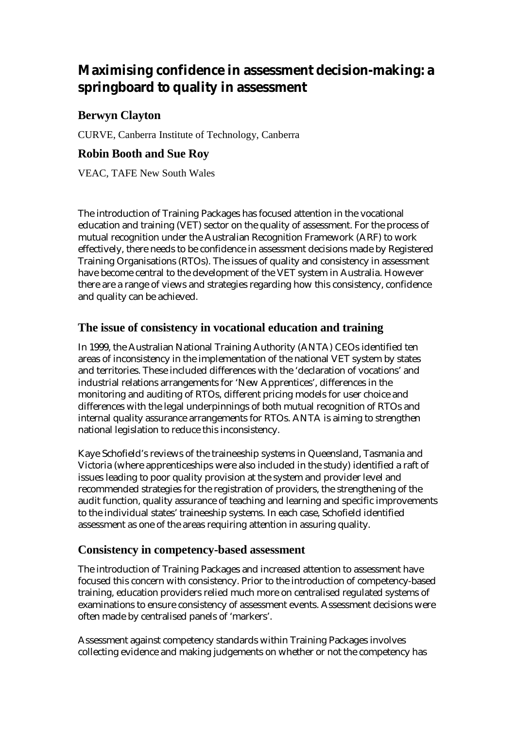# **Maximising confidence in assessment decision-making: a springboard to quality in assessment**

# **Berwyn Clayton**

CURVE, Canberra Institute of Technology, Canberra

## **Robin Booth and Sue Roy**

VEAC, TAFE New South Wales

The introduction of Training Packages has focused attention in the vocational education and training (VET) sector on the quality of assessment. For the process of mutual recognition under the Australian Recognition Framework (ARF) to work effectively, there needs to be confidence in assessment decisions made by Registered Training Organisations (RTOs). The issues of quality and consistency in assessment have become central to the development of the VET system in Australia. However there are a range of views and strategies regarding how this consistency, confidence and quality can be achieved.

## **The issue of consistency in vocational education and training**

In 1999, the Australian National Training Authority (ANTA) CEOs identified ten areas of inconsistency in the implementation of the national VET system by states and territories. These included differences with the 'declaration of vocations' and industrial relations arrangements for 'New Apprentices', differences in the monitoring and auditing of RTOs, different pricing models for user choice and differences with the legal underpinnings of both mutual recognition of RTOs and internal quality assurance arrangements for RTOs. ANTA is aiming to strengthen national legislation to reduce this inconsistency.

Kaye Schofield's reviews of the traineeship systems in Queensland, Tasmania and Victoria (where apprenticeships were also included in the study) identified a raft of issues leading to poor quality provision at the system and provider level and recommended strategies for the registration of providers, the strengthening of the audit function, quality assurance of teaching and learning and specific improvements to the individual states' traineeship systems. In each case, Schofield identified assessment as one of the areas requiring attention in assuring quality.

## **Consistency in competency-based assessment**

The introduction of Training Packages and increased attention to assessment have focused this concern with consistency. Prior to the introduction of competency-based training, education providers relied much more on centralised regulated systems of examinations to ensure consistency of assessment events. Assessment decisions were often made by centralised panels of 'markers'.

Assessment against competency standards within Training Packages involves collecting evidence and making judgements on whether or not the competency has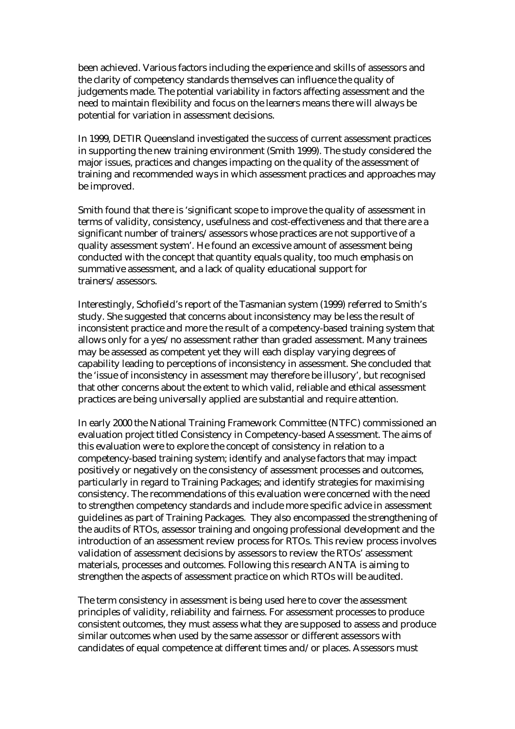been achieved. Various factors including the experience and skills of assessors and the clarity of competency standards themselves can influence the quality of judgements made. The potential variability in factors affecting assessment and the need to maintain flexibility and focus on the learners means there will always be potential for variation in assessment decisions.

In 1999, DETIR Queensland investigated the success of current assessment practices in supporting the new training environment (Smith 1999). The study considered the major issues, practices and changes impacting on the quality of the assessment of training and recommended ways in which assessment practices and approaches may be improved.

Smith found that there is 'significant scope to improve the quality of assessment in terms of validity, consistency, usefulness and cost-effectiveness and that there are a significant number of trainers/assessors whose practices are not supportive of a quality assessment system'. He found an excessive amount of assessment being conducted with the concept that quantity equals quality, too much emphasis on summative assessment, and a lack of quality educational support for trainers/assessors.

Interestingly, Schofield's report of the Tasmanian system (1999) referred to Smith's study. She suggested that concerns about inconsistency may be less the result of inconsistent practice and more the result of a competency-based training system that allows only for a yes/no assessment rather than graded assessment. Many trainees may be assessed as competent yet they will each display varying degrees of capability leading to perceptions of inconsistency in assessment. She concluded that the 'issue of inconsistency in assessment may therefore be illusory', but recognised that other concerns about the extent to which valid, reliable and ethical assessment practices are being universally applied are substantial and require attention.

In early 2000 the National Training Framework Committee (NTFC) commissioned an evaluation project titled Consistency in Competency-based Assessment. The aims of this evaluation were to explore the concept of consistency in relation to a competency-based training system; identify and analyse factors that may impact positively or negatively on the consistency of assessment processes and outcomes, particularly in regard to Training Packages; and identify strategies for maximising consistency. The recommendations of this evaluation were concerned with the need to strengthen competency standards and include more specific advice in assessment guidelines as part of Training Packages. They also encompassed the strengthening of the audits of RTOs, assessor training and ongoing professional development and the introduction of an assessment review process for RTOs. This review process involves validation of assessment decisions by assessors to review the RTOs' assessment materials, processes and outcomes. Following this research ANTA is aiming to strengthen the aspects of assessment practice on which RTOs will be audited.

The term consistency in assessment is being used here to cover the assessment principles of validity, reliability and fairness. For assessment processes to produce consistent outcomes, they must assess what they are supposed to assess and produce similar outcomes when used by the same assessor or different assessors with candidates of equal competence at different times and/or places. Assessors must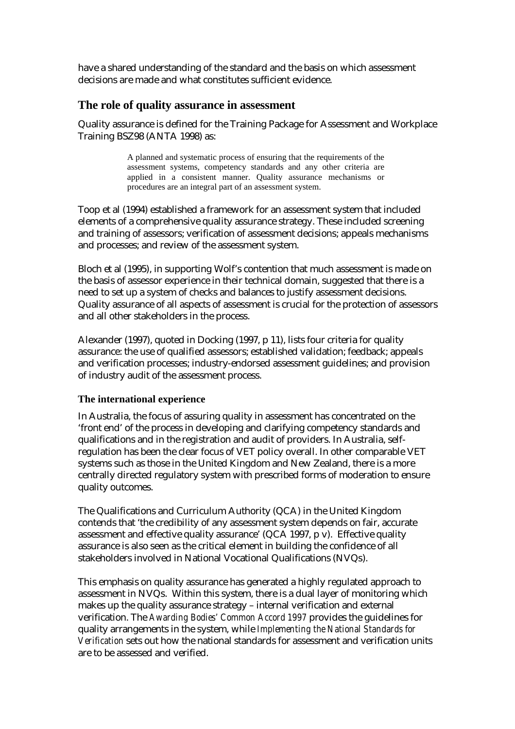have a shared understanding of the standard and the basis on which assessment decisions are made and what constitutes sufficient evidence.

#### **The role of quality assurance in assessment**

Quality assurance is defined for the Training Package for Assessment and Workplace Training BSZ98 (ANTA 1998) as:

> A planned and systematic process of ensuring that the requirements of the assessment systems, competency standards and any other criteria are applied in a consistent manner. Quality assurance mechanisms or procedures are an integral part of an assessment system.

Toop et al (1994) established a framework for an assessment system that included elements of a comprehensive quality assurance strategy. These included screening and training of assessors; verification of assessment decisions; appeals mechanisms and processes; and review of the assessment system.

Bloch et al (1995), in supporting Wolf's contention that much assessment is made on the basis of assessor experience in their technical domain, suggested that there is a need to set up a system of checks and balances to justify assessment decisions. Quality assurance of all aspects of assessment is crucial for the protection of assessors and all other stakeholders in the process.

Alexander (1997), quoted in Docking (1997, p 11), lists four criteria for quality assurance: the use of qualified assessors; established validation; feedback; appeals and verification processes; industry-endorsed assessment guidelines; and provision of industry audit of the assessment process.

#### **The international experience**

In Australia, the focus of assuring quality in assessment has concentrated on the 'front end' of the process in developing and clarifying competency standards and qualifications and in the registration and audit of providers. In Australia, selfregulation has been the clear focus of VET policy overall. In other comparable VET systems such as those in the United Kingdom and New Zealand, there is a more centrally directed regulatory system with prescribed forms of moderation to ensure quality outcomes.

The Qualifications and Curriculum Authority (QCA) in the United Kingdom contends that 'the credibility of any assessment system depends on fair, accurate assessment and effective quality assurance' (QCA 1997, p v). Effective quality assurance is also seen as the critical element in building the confidence of all stakeholders involved in National Vocational Qualifications (NVQs).

This emphasis on quality assurance has generated a highly regulated approach to assessment in NVQs. Within this system, there is a dual layer of monitoring which makes up the quality assurance strategy – internal verification and external verification. The *Awarding Bodies' Common Accord 1997* provides the guidelines for quality arrangements in the system, while *Implementing the National Standards for Verification* sets out how the national standards for assessment and verification units are to be assessed and verified.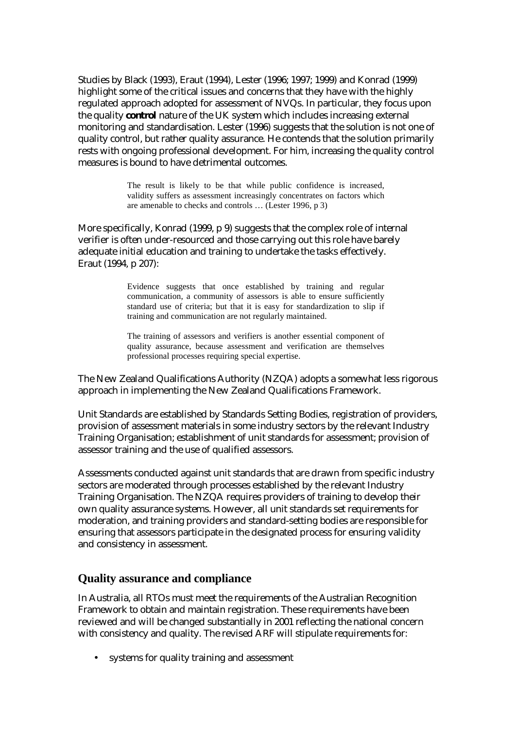Studies by Black (1993), Eraut (1994), Lester (1996; 1997; 1999) and Konrad (1999) highlight some of the critical issues and concerns that they have with the highly regulated approach adopted for assessment of NVQs. In particular, they focus upon the quality *control* nature of the UK system which includes increasing external monitoring and standardisation. Lester (1996) suggests that the solution is not one of quality control, but rather quality assurance. He contends that the solution primarily rests with ongoing professional development. For him, increasing the quality control measures is bound to have detrimental outcomes.

> The result is likely to be that while public confidence is increased, validity suffers as assessment increasingly concentrates on factors which are amenable to checks and controls … (Lester 1996, p 3)

More specifically, Konrad (1999, p 9) suggests that the complex role of internal verifier is often under-resourced and those carrying out this role have barely adequate initial education and training to undertake the tasks effectively. Eraut (1994, p 207):

> Evidence suggests that once established by training and regular communication, a community of assessors is able to ensure sufficiently standard use of criteria; but that it is easy for standardization to slip if training and communication are not regularly maintained.

> The training of assessors and verifiers is another essential component of quality assurance, because assessment and verification are themselves professional processes requiring special expertise.

The New Zealand Qualifications Authority (NZQA) adopts a somewhat less rigorous approach in implementing the New Zealand Qualifications Framework.

Unit Standards are established by Standards Setting Bodies, registration of providers, provision of assessment materials in some industry sectors by the relevant Industry Training Organisation; establishment of unit standards for assessment; provision of assessor training and the use of qualified assessors.

Assessments conducted against unit standards that are drawn from specific industry sectors are moderated through processes established by the relevant Industry Training Organisation. The NZQA requires providers of training to develop their own quality assurance systems. However, all unit standards set requirements for moderation, and training providers and standard-setting bodies are responsible for ensuring that assessors participate in the designated process for ensuring validity and consistency in assessment.

#### **Quality assurance and compliance**

In Australia, all RTOs must meet the requirements of the Australian Recognition Framework to obtain and maintain registration. These requirements have been reviewed and will be changed substantially in 2001 reflecting the national concern with consistency and quality. The revised ARF will stipulate requirements for:

systems for quality training and assessment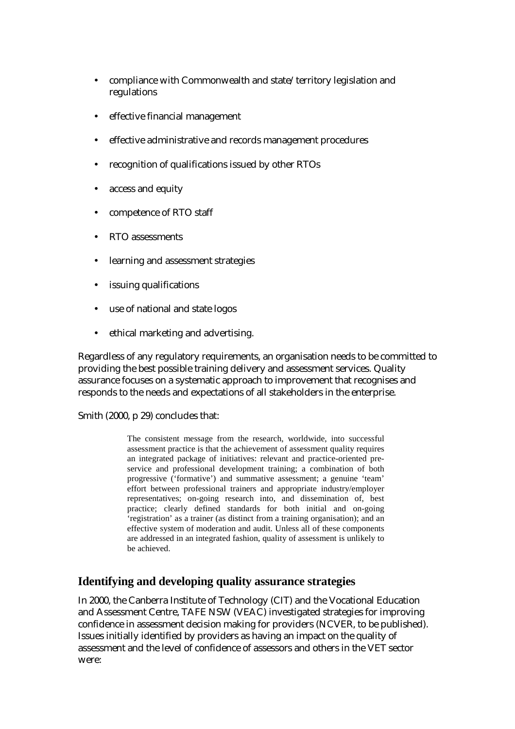- compliance with Commonwealth and state/territory legislation and regulations
- effective financial management
- effective administrative and records management procedures
- recognition of qualifications issued by other RTOs
- access and equity
- competence of RTO staff
- RTO assessments
- learning and assessment strategies
- issuing qualifications
- use of national and state logos
- ethical marketing and advertising.

Regardless of any regulatory requirements, an organisation needs to be committed to providing the best possible training delivery and assessment services. Quality assurance focuses on a systematic approach to improvement that recognises and responds to the needs and expectations of all stakeholders in the enterprise.

Smith (2000, p 29) concludes that:

The consistent message from the research, worldwide, into successful assessment practice is that the achievement of assessment quality requires an integrated package of initiatives: relevant and practice-oriented preservice and professional development training; a combination of both progressive ('formative') and summative assessment; a genuine 'team' effort between professional trainers and appropriate industry/employer representatives; on-going research into, and dissemination of, best practice; clearly defined standards for both initial and on-going 'registration' as a trainer (as distinct from a training organisation); and an effective system of moderation and audit. Unless all of these components are addressed in an integrated fashion, quality of assessment is unlikely to be achieved.

## **Identifying and developing quality assurance strategies**

In 2000, the Canberra Institute of Technology (CIT) and the Vocational Education and Assessment Centre, TAFE NSW (VEAC) investigated strategies for improving confidence in assessment decision making for providers (NCVER, to be published). Issues initially identified by providers as having an impact on the quality of assessment and the level of confidence of assessors and others in the VET sector were: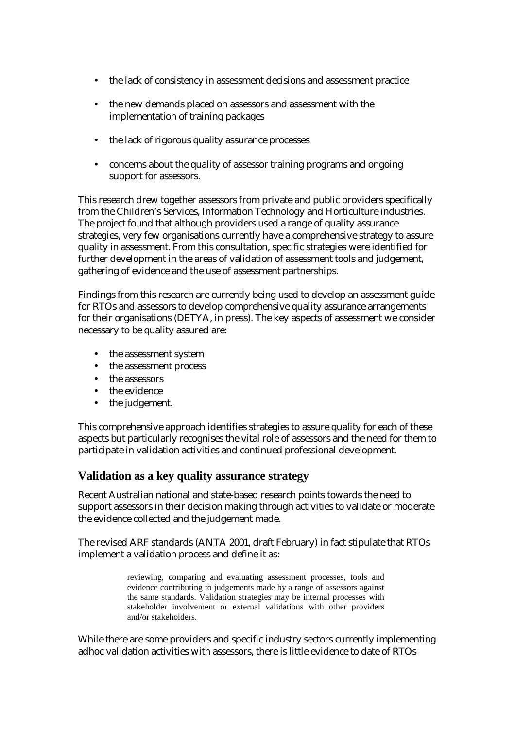- the lack of consistency in assessment decisions and assessment practice
- the new demands placed on assessors and assessment with the implementation of training packages
- the lack of rigorous quality assurance processes
- concerns about the quality of assessor training programs and ongoing support for assessors.

This research drew together assessors from private and public providers specifically from the Children's Services, Information Technology and Horticulture industries. The project found that although providers used a range of quality assurance strategies, very few organisations currently have a comprehensive strategy to assure quality in assessment. From this consultation, specific strategies were identified for further development in the areas of validation of assessment tools and judgement, gathering of evidence and the use of assessment partnerships.

Findings from this research are currently being used to develop an assessment guide for RTOs and assessors to develop comprehensive quality assurance arrangements for their organisations (DETYA, in press). The key aspects of assessment we consider necessary to be quality assured are:

- the assessment system
- the assessment process
- the assessors
- the evidence
- the judgement.

This comprehensive approach identifies strategies to assure quality for each of these aspects but particularly recognises the vital role of assessors and the need for them to participate in validation activities and continued professional development.

## **Validation as a key quality assurance strategy**

Recent Australian national and state-based research points towards the need to support assessors in their decision making through activities to validate or moderate the evidence collected and the judgement made.

The revised ARF standards (ANTA 2001, draft February) in fact stipulate that RTOs implement a validation process and define it as:

> reviewing, comparing and evaluating assessment processes, tools and evidence contributing to judgements made by a range of assessors against the same standards. Validation strategies may be internal processes with stakeholder involvement or external validations with other providers and/or stakeholders.

While there are some providers and specific industry sectors currently implementing adhoc validation activities with assessors, there is little evidence to date of RTOs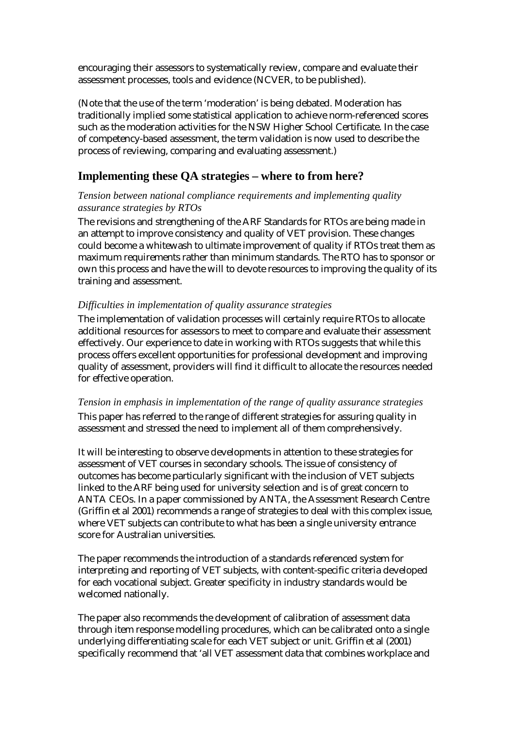encouraging their assessors to systematically review, compare and evaluate their assessment processes, tools and evidence (NCVER, to be published).

(Note that the use of the term 'moderation' is being debated. Moderation has traditionally implied some statistical application to achieve norm-referenced scores such as the moderation activities for the NSW Higher School Certificate. In the case of competency-based assessment, the term validation is now used to describe the process of reviewing, comparing and evaluating assessment.)

## **Implementing these QA strategies – where to from here?**

#### *Tension between national compliance requirements and implementing quality assurance strategies by RTOs*

The revisions and strengthening of the ARF Standards for RTOs are being made in an attempt to improve consistency and quality of VET provision. These changes could become a whitewash to ultimate improvement of quality if RTOs treat them as maximum requirements rather than minimum standards. The RTO has to sponsor or own this process and have the will to devote resources to improving the quality of its training and assessment.

#### *Difficulties in implementation of quality assurance strategies*

The implementation of validation processes will certainly require RTOs to allocate additional resources for assessors to meet to compare and evaluate their assessment effectively. Our experience to date in working with RTOs suggests that while this process offers excellent opportunities for professional development and improving quality of assessment, providers will find it difficult to allocate the resources needed for effective operation.

#### *Tension in emphasis in implementation of the range of quality assurance strategies*

This paper has referred to the range of different strategies for assuring quality in assessment and stressed the need to implement all of them comprehensively.

It will be interesting to observe developments in attention to these strategies for assessment of VET courses in secondary schools. The issue of consistency of outcomes has become particularly significant with the inclusion of VET subjects linked to the ARF being used for university selection and is of great concern to ANTA CEOs. In a paper commissioned by ANTA, the Assessment Research Centre (Griffin et al 2001) recommends a range of strategies to deal with this complex issue, where VET subjects can contribute to what has been a single university entrance score for Australian universities.

The paper recommends the introduction of a standards referenced system for interpreting and reporting of VET subjects, with content-specific criteria developed for each vocational subject. Greater specificity in industry standards would be welcomed nationally.

The paper also recommends the development of calibration of assessment data through item response modelling procedures, which can be calibrated onto a single underlying differentiating scale for each VET subject or unit. Griffin et al (2001) specifically recommend that 'all VET assessment data that combines workplace and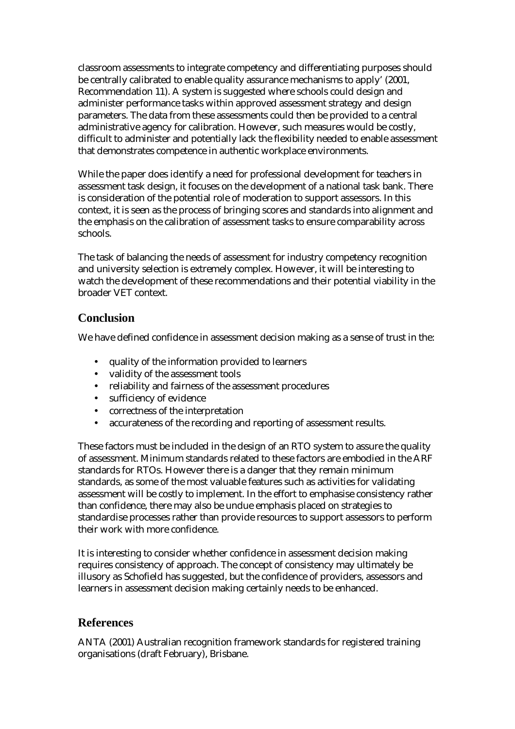classroom assessments to integrate competency and differentiating purposes should be centrally calibrated to enable quality assurance mechanisms to apply' (2001, Recommendation 11). A system is suggested where schools could design and administer performance tasks within approved assessment strategy and design parameters. The data from these assessments could then be provided to a central administrative agency for calibration. However, such measures would be costly, difficult to administer and potentially lack the flexibility needed to enable assessment that demonstrates competence in authentic workplace environments.

While the paper does identify a need for professional development for teachers in assessment task design, it focuses on the development of a national task bank. There is consideration of the potential role of moderation to support assessors. In this context, it is seen as the process of bringing scores and standards into alignment and the emphasis on the calibration of assessment tasks to ensure comparability across schools.

The task of balancing the needs of assessment for industry competency recognition and university selection is extremely complex. However, it will be interesting to watch the development of these recommendations and their potential viability in the broader VET context.

## **Conclusion**

We have defined confidence in assessment decision making as a sense of trust in the:

- quality of the information provided to learners
- validity of the assessment tools
- reliability and fairness of the assessment procedures
- sufficiency of evidence
- correctness of the interpretation
- accurateness of the recording and reporting of assessment results.

These factors must be included in the design of an RTO system to assure the quality of assessment. Minimum standards related to these factors are embodied in the ARF standards for RTOs. However there is a danger that they remain minimum standards, as some of the most valuable features such as activities for validating assessment will be costly to implement. In the effort to emphasise consistency rather than confidence, there may also be undue emphasis placed on strategies to standardise processes rather than provide resources to support assessors to perform their work with more confidence.

It is interesting to consider whether confidence in assessment decision making requires consistency of approach. The concept of consistency may ultimately be illusory as Schofield has suggested, but the confidence of providers, assessors and learners in assessment decision making certainly needs to be enhanced.

## **References**

ANTA (2001) Australian recognition framework standards for registered training organisations (draft February), Brisbane.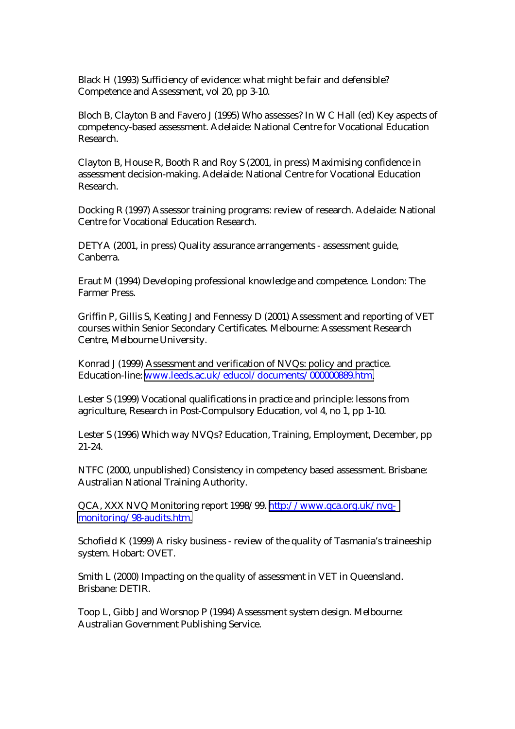Black H (1993) Sufficiency of evidence: what might be fair and defensible? Competence and Assessment, vol 20, pp 3-10.

Bloch B, Clayton B and Favero J (1995) Who assesses? In W C Hall (ed) Key aspects of competency-based assessment. Adelaide: National Centre for Vocational Education Research.

Clayton B, House R, Booth R and Roy S (2001, in press) Maximising confidence in assessment decision-making. Adelaide: National Centre for Vocational Education Research.

Docking R (1997) Assessor training programs: review of research. Adelaide: National Centre for Vocational Education Research.

DETYA (2001, in press) Quality assurance arrangements - assessment guide, Canberra.

Eraut M (1994) Developing professional knowledge and competence. London: The Farmer Press.

Griffin P, Gillis S, Keating J and Fennessy D (2001) Assessment and reporting of VET courses within Senior Secondary Certificates. Melbourne: Assessment Research Centre, Melbourne University.

Konrad J (1999) Assessment and verification of NVQs: policy and practice. Education-line: [www.leeds.ac.uk/educol/documents/000000889.htm.](http://www.leeds.ac.uk/educol/documents/000000889.htm)

Lester S (1999) Vocational qualifications in practice and principle: lessons from agriculture, Research in Post-Compulsory Education, vol 4, no 1, pp 1-10.

Lester S (1996) Which way NVQs? Education, Training, Employment, December, pp 21-24.

NTFC (2000, unpublished) Consistency in competency based assessment. Brisbane: Australian National Training Authority.

QCA, XXX NVQ Monitoring report 1998/99. [http://www.qca.org.uk/nvq](http://www.qca.org.uk/nvq-monitoring/98-audits.htm)[monitoring/98-audits.htm.](http://www.qca.org.uk/nvq-monitoring/98-audits.htm) 

Schofield K (1999) A risky business - review of the quality of Tasmania's traineeship system. Hobart: OVET.

Smith L (2000) Impacting on the quality of assessment in VET in Queensland. Brisbane: DETIR.

Toop L, Gibb J and Worsnop P (1994) Assessment system design. Melbourne: Australian Government Publishing Service.